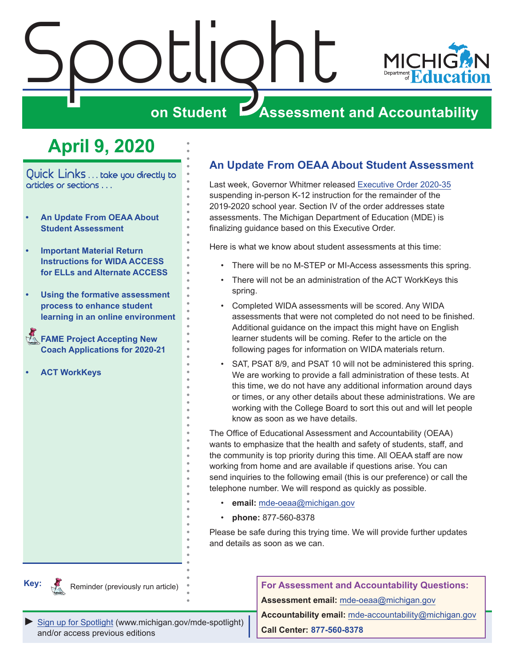<span id="page-0-0"></span>

# **April 9, 2020**

Quick Links ... take you directly to articles or sections . . .

- **• An Update From OEAA About Student Assessment**
- **• [Important Material Return](#page-1-0)  [Instructions for WIDA ACCESS](#page-1-0)  [for ELLs and Alternate ACCESS](#page-1-0)**
- **• [Using the formative assessment](#page-3-0)  [process to enhance student](#page-3-0)  [learning in an online environment](#page-3-0)**
- **FAME Project Accepting New [Coach Applications for 2020-21](#page-4-0)**
- **• [ACT WorkKeys](#page-5-0)**

### **An Update From OEAA About Student Assessment**

Last week, Governor Whitmer released [Executive Order 2020-35](https://www.michigan.gov/whitmer/0,9309,7-387-90499_90705-524032--,00.html) suspending in-person K-12 instruction for the remainder of the 2019-2020 school year. Section IV of the order addresses state assessments. The Michigan Department of Education (MDE) is finalizing guidance based on this Executive Order.

Here is what we know about student assessments at this time:

- There will be no M-STEP or MI-Access assessments this spring.
- There will not be an administration of the ACT WorkKeys this spring.
- Completed WIDA assessments will be scored. Any WIDA assessments that were not completed do not need to be finished. Additional guidance on the impact this might have on English learner students will be coming. Refer to the article on the following pages for information on WIDA materials return.
- SAT, PSAT 8/9, and PSAT 10 will not be administered this spring. We are working to provide a fall administration of these tests. At this time, we do not have any additional information around days or times, or any other details about these administrations. We are working with the College Board to sort this out and will let people know as soon as we have details.

The Office of Educational Assessment and Accountability (OEAA) wants to emphasize that the health and safety of students, staff, and the community is top priority during this time. All OEAA staff are now working from home and are available if questions arise. You can send inquiries to the following email (this is our preference) or call the telephone number. We will respond as quickly as possible.

- **email:** [mde-oeaa@michigan.gov](mailto:mde-oeaa%40michigan.gov?subject=)
- **phone:** 877-560-8378

Please be safe during this trying time. We will provide further updates and details as soon as we can.



Reminder (previously run article)

**For Assessment and Accountability Questions: Assessment email:** mde-oea[a@michigan.gov](mailto:mde-oeaa%40michigan.gov?subject=assessment%20question)

*►* [Sign up for Spotlight](https://public.govdelivery.com/accounts/MIMDE/subscriber/new) ([www.michigan.gov/mde-](www.michigan.gov/mde-spotlight)spotlight) and/or access previous editions

**Accountability email:** mde[-accountability@michigan.gov](mailto:MDE-Accountability%40michigan.gov?subject=Accountability%20question) **Call Center: 877-560-8378**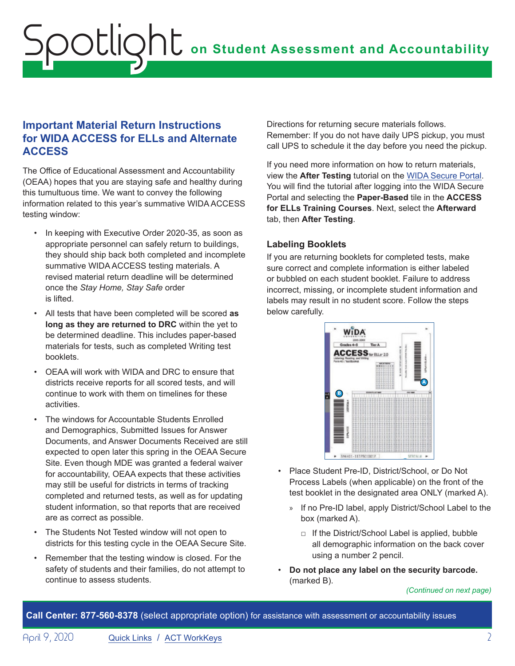### <span id="page-1-0"></span>**Important Material Return Instructions for WIDA ACCESS for ELLs and Alternate ACCESS**

The Office of Educational Assessment and Accountability (OEAA) hopes that you are staying safe and healthy during this tumultuous time. We want to convey the following information related to this year's summative WIDA ACCESS testing window:

- In keeping with Executive Order 2020-35, as soon as appropriate personnel can safely return to buildings, they should ship back both completed and incomplete summative WIDA ACCESS testing materials. A revised material return deadline will be determined once the *Stay Home, Stay Safe* order is lifted.
- All tests that have been completed will be scored **as long as they are returned to DRC** within the yet to be determined deadline. This includes paper-based materials for tests, such as completed Writing test booklets.
- OEAA will work with WIDA and DRC to ensure that districts receive reports for all scored tests, and will continue to work with them on timelines for these activities.
- The windows for Accountable Students Enrolled and Demographics, Submitted Issues for Answer Documents, and Answer Documents Received are still expected to open later this spring in the OEAA Secure Site. Even though MDE was granted a federal waiver for accountability, OEAA expects that these activities may still be useful for districts in terms of tracking completed and returned tests, as well as for updating student information, so that reports that are received are as correct as possible.
- The Students Not Tested window will not open to districts for this testing cycle in the OEAA Secure Site.
- Remember that the testing window is closed. For the safety of students and their families, do not attempt to continue to assess students.

Directions for returning secure materials follows. Remember: If you do not have daily UPS pickup, you must call UPS to schedule it the day before you need the pickup.

If you need more information on how to return materials, view the **After Testing** tutorial on the [WIDA Secure Portal.](https://gcc01.safelinks.protection.outlook.com/?url=https%3A%2F%2Furldefense.proofpoint.com%2Fv2%2Furl%3Fu%3Dhttp-3A__s2720.t.en25.com_e_er-3Futm-5Fcampaign-3DMI09-26utm-5Fmedium-3Demail-26utm-5Fsource-3DEloqua-26s-3D2720-26lid-3D1445-26elqTrackId-3D1633C6280A3A8E348112D0BD1D0D7F67-26elq-3D6b36735f344f421a9a1bb48cae58a419-26elqaid-3D6405-26elqat-3D1%26d%3DDwMCaQ%26c%3D8zrWcxohc8EScTghaWfhULjPi_iW3pFnOBrhZAw_16M%26r%3DCMUvUOkR5Mt-691GvZKrhlhKVvOmCMJvIOm4ZoheWRIY9DlWCbCvAhxkRlNk7Kmx%26m%3DLK59sq64fRrYmnw67QzESya61xBETXtW8Qr3A67iTj8%26s%3DiY4l7TlMXKNZz9Zf8C7kMTO9M_pOWnuhobAPZCUDV2I%26e%3D&data=02%7C01%7Cpaulj%40michigan.gov%7C61a63dffa56a46df448e08d7beed86b4%7Cd5fb7087377742ad966a892ef47225d1%7C0%7C0%7C637187799691750942&sdata=eoYj7oj68pAlw63Cmoy87QHhNSJGac8sHmTiMk3BlD0%3D&reserved=0) You will find the tutorial after logging into the WIDA Secure Portal and selecting the **Paper-Based** tile in the **ACCESS for ELLs Training Courses**. Next, select the **Afterward** tab, then **After Testing**.

#### **Labeling Booklets**

If you are returning booklets for completed tests, make sure correct and complete information is either labeled or bubbled on each student booklet. Failure to address incorrect, missing, or incomplete student information and labels may result in no student score. Follow the steps below carefully.



- Place Student Pre-ID, District/School, or Do Not Process Labels (when applicable) on the front of the test booklet in the designated area ONLY (marked A).
	- » If no Pre-ID label, apply District/School Label to the box (marked A).
		- □ If the District/School Label is applied, bubble all demographic information on the back cover using a number 2 pencil.
- **Do not place any label on the security barcode.**  (marked B).

#### *(Continued on next page)*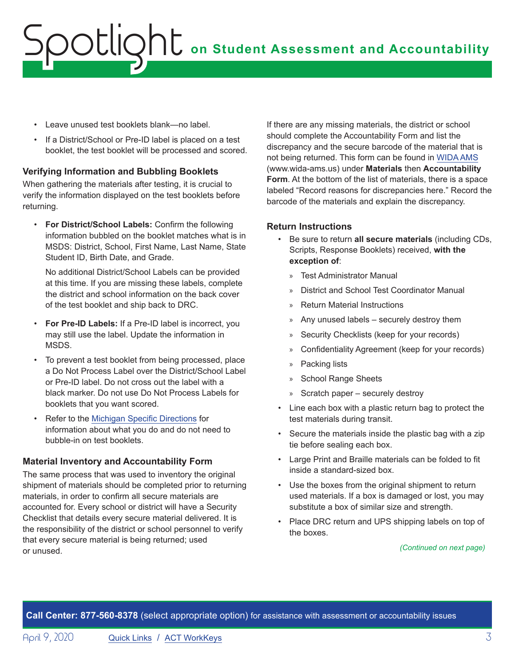# **on Student Assessment and Accountability** Spotlight

- Leave unused test booklets blank—no label.
- If a District/School or Pre-ID label is placed on a test booklet, the test booklet will be processed and scored.

#### **Verifying Information and Bubbling Booklets**

When gathering the materials after testing, it is crucial to verify the information displayed on the test booklets before returning.

• **For District/School Labels:** Confirm the following information bubbled on the booklet matches what is in MSDS: District, School, First Name, Last Name, State Student ID, Birth Date, and Grade.

No additional District/School Labels can be provided at this time. If you are missing these labels, complete the district and school information on the back cover of the test booklet and ship back to DRC.

- **For Pre-ID Labels:** If a Pre-ID label is incorrect, you may still use the label. Update the information in MSDS.
- To prevent a test booklet from being processed, place a Do Not Process Label over the District/School Label or Pre-ID label. Do not cross out the label with a black marker. Do not use Do Not Process Labels for booklets that you want scored.
- Refer to the [Michigan Specific Directions](https://wida.wisc.edu/sites/default/files/state-specific-directions/MI-State-Specific-Directions.pdf) for information about what you do and do not need to bubble-in on test booklets.

#### **Material Inventory and Accountability Form**

The same process that was used to inventory the original shipment of materials should be completed prior to returning materials, in order to confirm all secure materials are accounted for. Every school or district will have a Security Checklist that details every secure material delivered. It is the responsibility of the district or school personnel to verify that every secure material is being returned; used or unused.

If there are any missing materials, the district or school should complete the Accountability Form and list the discrepancy and the secure barcode of the material that is not being returned. This form can be found in [WIDA AMS](https://www.wida-ams.us/) (www.wida-ams.us) under **Materials** then **Accountability Form**. At the bottom of the list of materials, there is a space labeled "Record reasons for discrepancies here." Record the barcode of the materials and explain the discrepancy.

#### **Return Instructions**

- Be sure to return **all secure materials** (including CDs, Scripts, Response Booklets) received, **with the exception of**:
	- » Test Administrator Manual
	- » District and School Test Coordinator Manual
	- » Return Material Instructions
	- » Any unused labels securely destroy them
	- » Security Checklists (keep for your records)
	- » Confidentiality Agreement (keep for your records)
	- » Packing lists
	- » School Range Sheets
	- » Scratch paper securely destroy
- Line each box with a plastic return bag to protect the test materials during transit.
- Secure the materials inside the plastic bag with a zip tie before sealing each box.
- Large Print and Braille materials can be folded to fit inside a standard-sized box.
- Use the boxes from the original shipment to return used materials. If a box is damaged or lost, you may substitute a box of similar size and strength.
- Place DRC return and UPS shipping labels on top of the boxes.

#### *(Continued on next page)*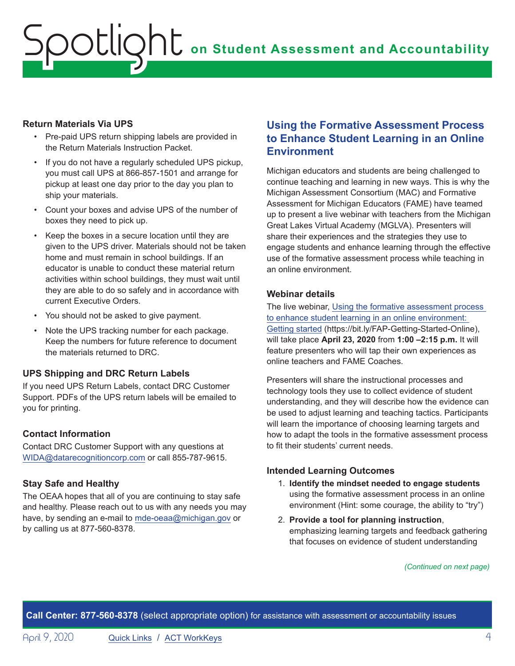# <span id="page-3-0"></span>**on Student Assessment and Accountability** Spotlight

#### **Return Materials Via UPS**

- Pre-paid UPS return shipping labels are provided in the Return Materials Instruction Packet.
- If you do not have a regularly scheduled UPS pickup, you must call UPS at 866-857-1501 and arrange for pickup at least one day prior to the day you plan to ship your materials.
- Count your boxes and advise UPS of the number of boxes they need to pick up.
- Keep the boxes in a secure location until they are given to the UPS driver. Materials should not be taken home and must remain in school buildings. If an educator is unable to conduct these material return activities within school buildings, they must wait until they are able to do so safely and in accordance with current Executive Orders.
- You should not be asked to give payment.
- Note the UPS tracking number for each package. Keep the numbers for future reference to document the materials returned to DRC.

#### **UPS Shipping and DRC Return Labels**

If you need UPS Return Labels, contact DRC Customer Support. PDFs of the UPS return labels will be emailed to you for printing.

#### **Contact Information**

Contact DRC Customer Support with any questions at [WIDA@datarecognitioncorp.com](mailto:WIDA%40datarecognitioncorp.com?subject=) or call 855-787-9615.

#### **Stay Safe and Healthy**

The OEAA hopes that all of you are continuing to stay safe and healthy. Please reach out to us with any needs you may have, by sending an e-mail to [mde-oeaa@michigan.gov](mailto:mde-oeaa%40michigan.gov?subject=) or by calling us at 877-560-8378.

### **Using the Formative Assessment Process to Enhance Student Learning in an Online Environment**

Michigan educators and students are being challenged to continue teaching and learning in new ways. This is why the Michigan Assessment Consortium (MAC) and Formative Assessment for Michigan Educators (FAME) have teamed up to present a live webinar with teachers from the Michigan Great Lakes Virtual Academy (MGLVA). Presenters will share their experiences and the strategies they use to engage students and enhance learning through the effective use of the formative assessment process while teaching in an online environment.

#### **Webinar details**

The live webinar, [Using the formative assessment process](https://www.michiganassessmentconsortium.org/event/using-the-formative-assessment-process-to-enhance-student-learning-in-an-online-environment-getting-started/)  [to enhance student learning in an online environment:](https://www.michiganassessmentconsortium.org/event/using-the-formative-assessment-process-to-enhance-student-learning-in-an-online-environment-getting-started/)  [Getting started](https://www.michiganassessmentconsortium.org/event/using-the-formative-assessment-process-to-enhance-student-learning-in-an-online-environment-getting-started/) (https://bit.ly/FAP-Getting-Started-Online), will take place **April 23, 2020** from **1:00 –2:15 p.m.** It will feature presenters who will tap their own experiences as online teachers and FAME Coaches.

Presenters will share the instructional processes and technology tools they use to collect evidence of student understanding, and they will describe how the evidence can be used to adjust learning and teaching tactics. Participants will learn the importance of choosing learning targets and how to adapt the tools in the formative assessment process to fit their students' current needs.

#### **Intended Learning Outcomes**

- 1. **Identify the mindset needed to engage students** using the formative assessment process in an online environment (Hint: some courage, the ability to "try")
- 2. **Provide a tool for planning instruction**, emphasizing learning targets and feedback gathering that focuses on evidence of student understanding

*(Continued on next page)*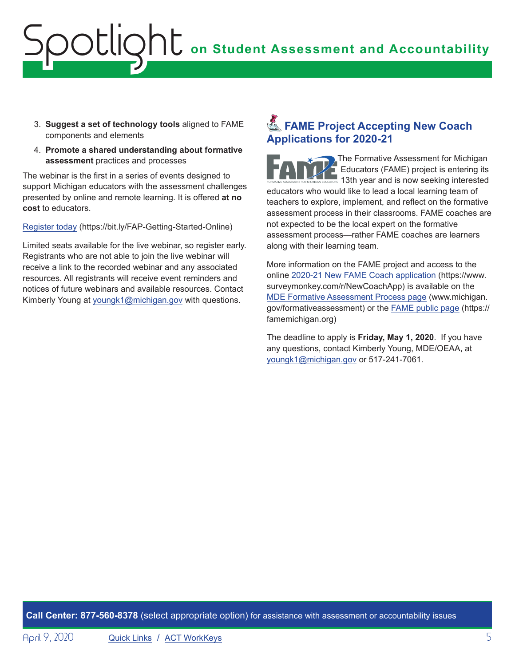# <span id="page-4-0"></span>**on Student Assessment and Accountability** Spotlight

- 3. **Suggest a set of technology tools** aligned to FAME components and elements
- 4. **Promote a shared understanding about formative assessment** practices and processes

The webinar is the first in a series of events designed to support Michigan educators with the assessment challenges presented by online and remote learning. It is offered **at no cost** to educators.

[Register today](https://bit.ly/FAP-Getting-Started-Online) (https://bit.ly/FAP-Getting-Started-Online)

Limited seats available for the live webinar, so register early. Registrants who are not able to join the live webinar will receive a link to the recorded webinar and any associated resources. All registrants will receive event reminders and notices of future webinars and available resources. Contact Kimberly Young at [youngk1@michigan.gov](mailto:youngk1%40michigan.gov?subject=) with questions.

## **External FAME Project Accepting New Coach Applications for 2020-21**

The Formative Assessment for Michigan Educators (FAME) project is entering its 13th vear and is now seeking interested educators who would like to lead a local learning team of teachers to explore, implement, and reflect on the formative assessment process in their classrooms. FAME coaches are not expected to be the local expert on the formative assessment process—rather FAME coaches are learners along with their learning team.

More information on the FAME project and access to the online [2020-21 New FAME Coach application](https://www.surveymonkey.com/r/NewCoachApp) (https://www. surveymonkey.com/r/NewCoachApp) is available on the [MDE Formative Assessment Process page](http://www.michigan.gov/formativeassessment) (www.michigan. gov/formativeassessment) or the [FAME public page](https://famemichigan.org) (https:// famemichigan.org)

The deadline to apply is **Friday, May 1, 2020**. If you have any questions, contact Kimberly Young, MDE/OEAA, at [youngk1@michigan.gov](mailto:youngk1%40michigan.gov?subject=) or 517-241-7061.